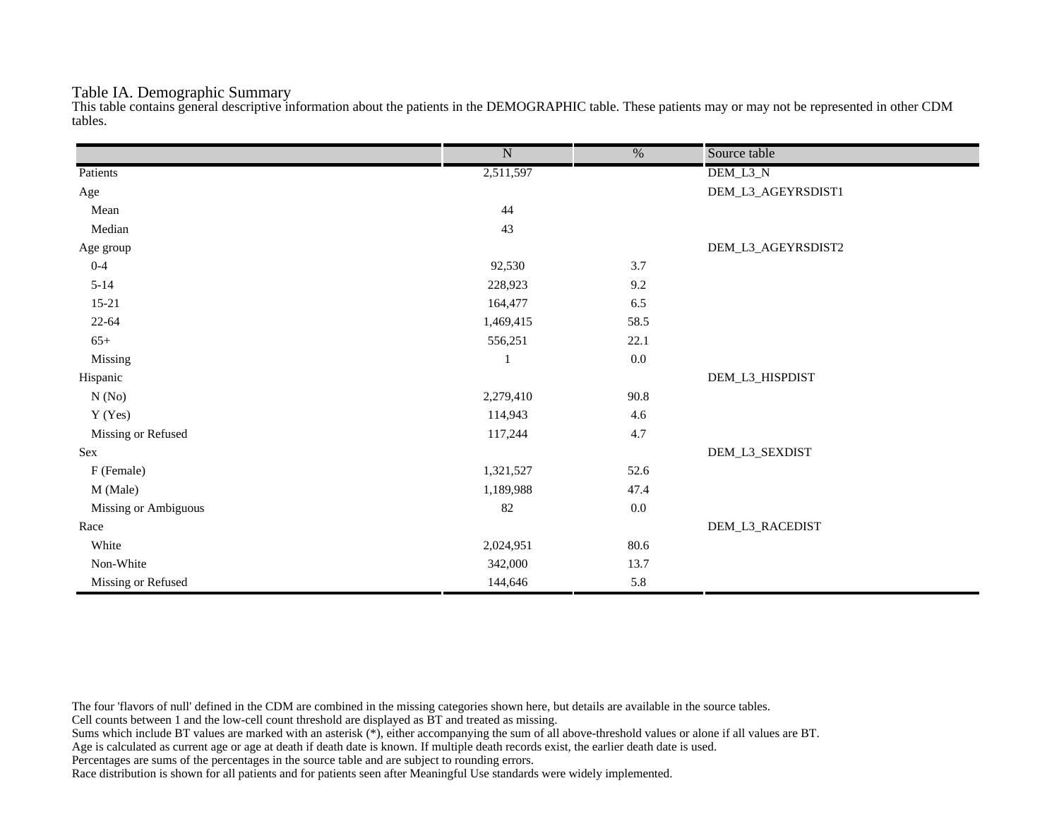## Table IA. Demographic Summary

This table contains general descriptive information about the patients in the DEMOGRAPHIC table. These patients may or may not be represented in other CDM tables.

|                      | $\overline{\text{N}}$ | $\overline{\frac{0}{0}}$ | Source table       |
|----------------------|-----------------------|--------------------------|--------------------|
| Patients             | 2,511,597             |                          | DEM_L3_N           |
| Age                  |                       |                          | DEM_L3_AGEYRSDIST1 |
| Mean                 | 44                    |                          |                    |
| Median               | 43                    |                          |                    |
| Age group            |                       |                          | DEM_L3_AGEYRSDIST2 |
| $0 - 4$              | 92,530                | 3.7                      |                    |
| $5 - 14$             | 228,923               | 9.2                      |                    |
| $15 - 21$            | 164,477               | 6.5                      |                    |
| $22 - 64$            | 1,469,415             | 58.5                     |                    |
| $65+$                | 556,251               | 22.1                     |                    |
| Missing              | 1                     | $0.0\,$                  |                    |
| Hispanic             |                       |                          | DEM_L3_HISPDIST    |
| N(No)                | 2,279,410             | 90.8                     |                    |
| Y (Yes)              | 114,943               | 4.6                      |                    |
| Missing or Refused   | 117,244               | 4.7                      |                    |
| Sex                  |                       |                          | DEM_L3_SEXDIST     |
| F (Female)           | 1,321,527             | 52.6                     |                    |
| M (Male)             | 1,189,988             | 47.4                     |                    |
| Missing or Ambiguous | 82                    | $0.0\,$                  |                    |
| Race                 |                       |                          | DEM_L3_RACEDIST    |
| White                | 2,024,951             | $80.6\,$                 |                    |
| Non-White            | 342,000               | 13.7                     |                    |
| Missing or Refused   | 144,646               | 5.8                      |                    |

The four 'flavors of null' defined in the CDM are combined in the missing categories shown here, but details are available in the source tables.

Cell counts between 1 and the low-cell count threshold are displayed as BT and treated as missing.

Sums which include BT values are marked with an asterisk (\*), either accompanying the sum of all above-threshold values or alone if all values are BT.

Age is calculated as current age or age at death if death date is known. If multiple death records exist, the earlier death date is used.

Percentages are sums of the percentages in the source table and are subject to rounding errors.

Race distribution is shown for all patients and for patients seen after Meaningful Use standards were widely implemented.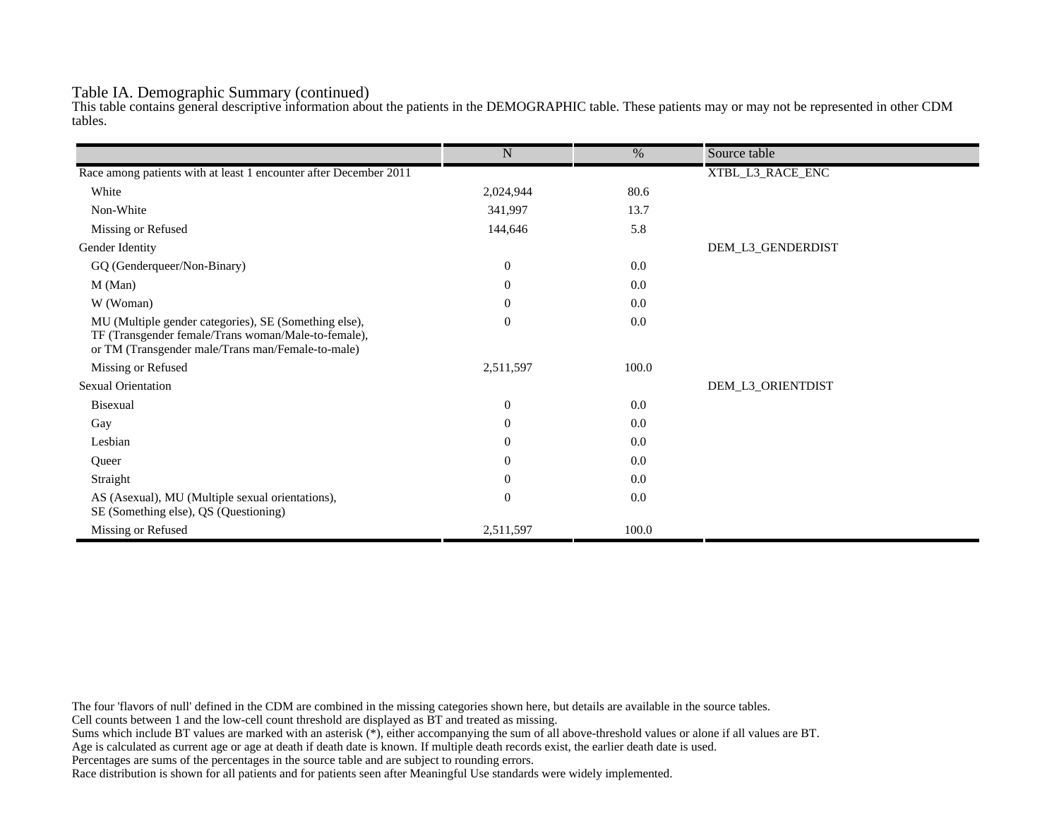## Table IA. Demographic Summary (continued)

This table contains general descriptive information about the patients in the DEMOGRAPHIC table. These patients may or may not be represented in other CDM tables.

|                                                                                                                                                                   | $\mathbf N$      | $\%$  | Source table      |
|-------------------------------------------------------------------------------------------------------------------------------------------------------------------|------------------|-------|-------------------|
| Race among patients with at least 1 encounter after December 2011                                                                                                 |                  |       | XTBL_L3_RACE_ENC  |
| White                                                                                                                                                             | 2,024,944        | 80.6  |                   |
|                                                                                                                                                                   |                  |       |                   |
| Non-White                                                                                                                                                         | 341,997          | 13.7  |                   |
| Missing or Refused                                                                                                                                                | 144,646          | 5.8   |                   |
| Gender Identity                                                                                                                                                   |                  |       | DEM_L3_GENDERDIST |
| GQ (Genderqueer/Non-Binary)                                                                                                                                       | $\mathbf{0}$     | 0.0   |                   |
| M (Man)                                                                                                                                                           | $\theta$         | 0.0   |                   |
| W (Woman)                                                                                                                                                         | $\boldsymbol{0}$ | 0.0   |                   |
| MU (Multiple gender categories), SE (Something else),<br>TF (Transgender female/Trans woman/Male-to-female),<br>or TM (Transgender male/Trans man/Female-to-male) | $\overline{0}$   | 0.0   |                   |
| Missing or Refused                                                                                                                                                | 2,511,597        | 100.0 |                   |
| <b>Sexual Orientation</b>                                                                                                                                         |                  |       | DEM_L3_ORIENTDIST |
| <b>Bisexual</b>                                                                                                                                                   | $\overline{0}$   | 0.0   |                   |
| Gay                                                                                                                                                               | $\theta$         | 0.0   |                   |
| Lesbian                                                                                                                                                           | $\theta$         | 0.0   |                   |
| Queer                                                                                                                                                             | $\theta$         | 0.0   |                   |
| Straight                                                                                                                                                          | $\theta$         | 0.0   |                   |
| AS (Asexual), MU (Multiple sexual orientations),<br>SE (Something else), QS (Questioning)                                                                         | $\mathbf{0}$     | 0.0   |                   |
| Missing or Refused                                                                                                                                                | 2,511,597        | 100.0 |                   |

The four 'flavors of null' defined in the CDM are combined in the missing categories shown here, but details are available in the source tables.

Cell counts between 1 and the low-cell count threshold are displayed as BT and treated as missing.

Sums which include BT values are marked with an asterisk (\*), either accompanying the sum of all above-threshold values or alone if all values are BT.

Age is calculated as current age or age at death if death date is known. If multiple death records exist, the earlier death date is used.

Percentages are sums of the percentages in the source table and are subject to rounding errors.

Race distribution is shown for all patients and for patients seen after Meaningful Use standards were widely implemented.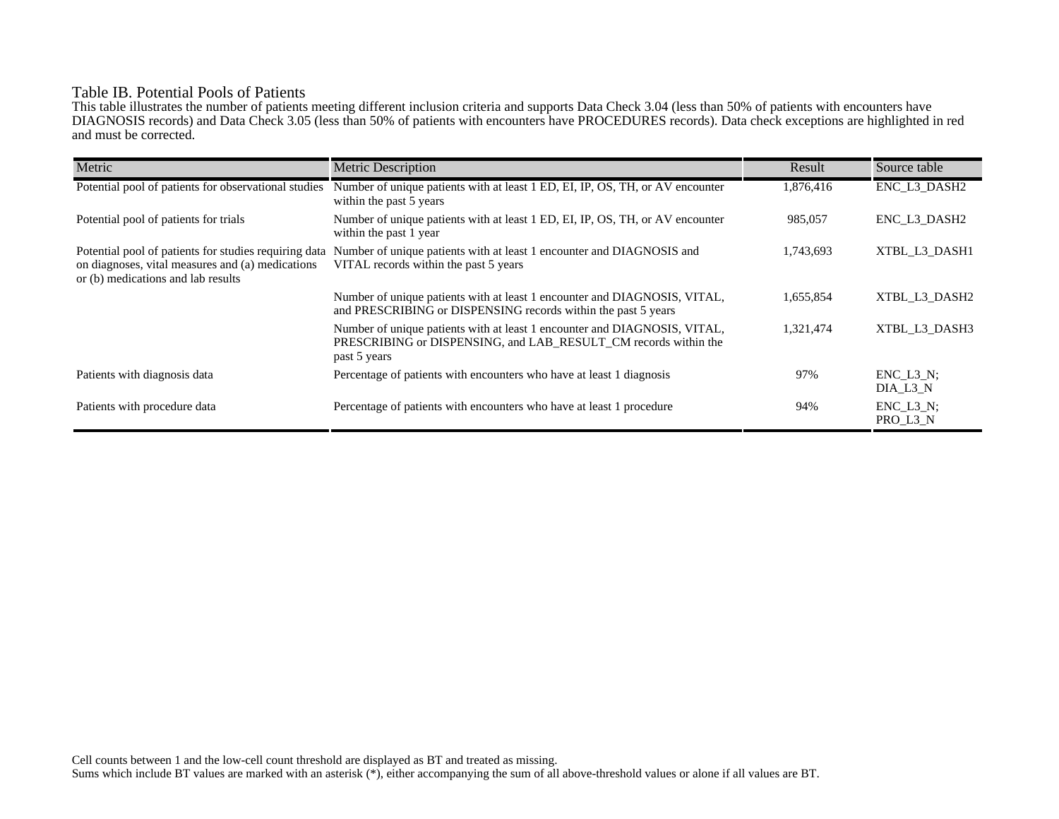# Table IB. Potential Pools of Patients

This table illustrates the number of patients meeting different inclusion criteria and supports Data Check 3.04 (less than 50% of patients with encounters have DIAGNOSIS records) and Data Check 3.05 (less than 50% of patients with encounters have PROCEDURES records). Data check exceptions are highlighted in red and must be corrected.

| Metric                                                                                                                                          | <b>Metric Description</b>                                                                                                                                    | Result    | Source table                 |
|-------------------------------------------------------------------------------------------------------------------------------------------------|--------------------------------------------------------------------------------------------------------------------------------------------------------------|-----------|------------------------------|
| Potential pool of patients for observational studies                                                                                            | Number of unique patients with at least 1 ED, EI, IP, OS, TH, or AV encounter<br>within the past 5 years                                                     | 1,876,416 | ENC_L3_DASH2                 |
| Potential pool of patients for trials                                                                                                           | Number of unique patients with at least 1 ED, EI, IP, OS, TH, or AV encounter<br>within the past 1 year                                                      | 985,057   | ENC L3 DASH2                 |
| Potential pool of patients for studies requiring data<br>on diagnoses, vital measures and (a) medications<br>or (b) medications and lab results | Number of unique patients with at least 1 encounter and DIAGNOSIS and<br>VITAL records within the past 5 years                                               | 1,743,693 | XTBL L3 DASH1                |
|                                                                                                                                                 | Number of unique patients with at least 1 encounter and DIAGNOSIS, VITAL,<br>and PRESCRIBING or DISPENSING records within the past 5 years                   | 1,655,854 | XTBL L3 DASH2                |
|                                                                                                                                                 | Number of unique patients with at least 1 encounter and DIAGNOSIS, VITAL,<br>PRESCRIBING or DISPENSING, and LAB RESULT CM records within the<br>past 5 years | 1,321,474 | XTBL L3 DASH3                |
| Patients with diagnosis data                                                                                                                    | Percentage of patients with encounters who have at least 1 diagnosis                                                                                         | 97%       | $ENC$ $L3$ $N$ ;<br>DIA L3 N |
| Patients with procedure data                                                                                                                    | Percentage of patients with encounters who have at least 1 procedure                                                                                         | 94%       | $ENC_L3_N;$<br>PRO_L3_N      |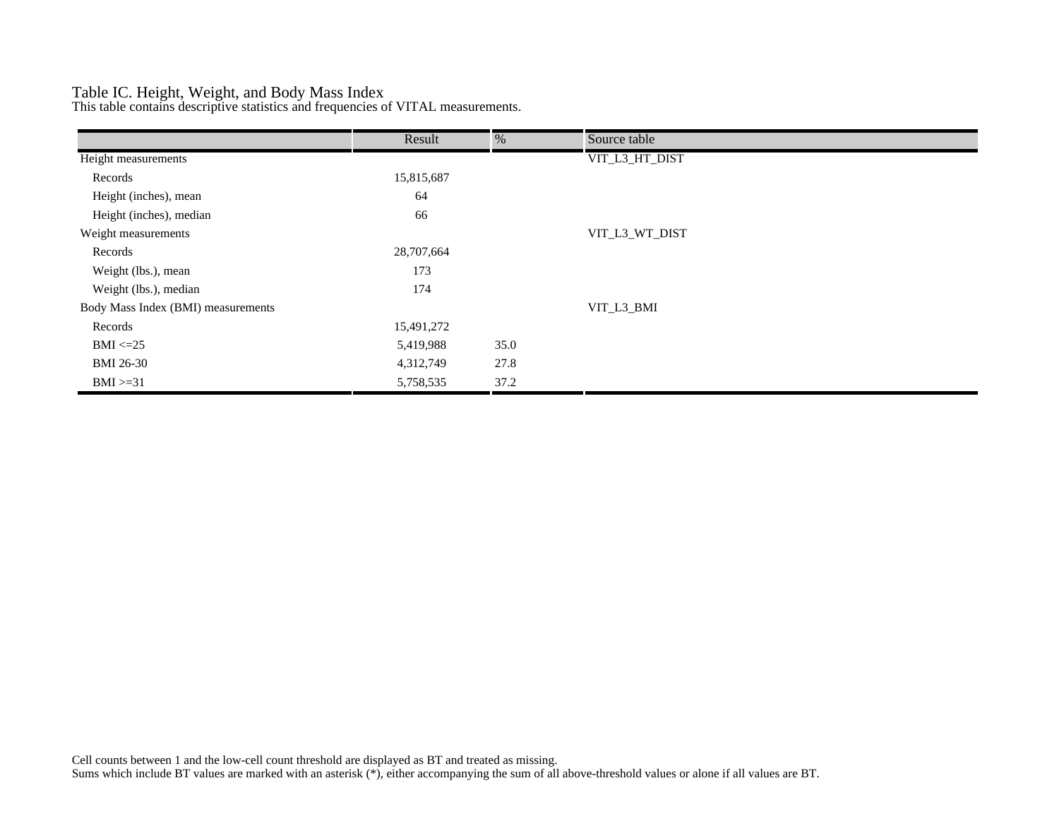# Table IC. Height, Weight, and Body Mass Index

This table contains descriptive statistics and frequencies of VITAL measurements.

|                                    | Result     | %    | Source table   |
|------------------------------------|------------|------|----------------|
| Height measurements                |            |      | VIT_L3_HT_DIST |
| Records                            | 15,815,687 |      |                |
| Height (inches), mean              | 64         |      |                |
| Height (inches), median            | 66         |      |                |
| Weight measurements                |            |      | VIT_L3_WT_DIST |
| Records                            | 28,707,664 |      |                |
| Weight (lbs.), mean                | 173        |      |                |
| Weight (lbs.), median              | 174        |      |                |
| Body Mass Index (BMI) measurements |            |      | VIT_L3_BMI     |
| Records                            | 15,491,272 |      |                |
| $BMI \leq=25$                      | 5,419,988  | 35.0 |                |
| <b>BMI 26-30</b>                   | 4,312,749  | 27.8 |                |
| $BMI > = 31$                       | 5,758,535  | 37.2 |                |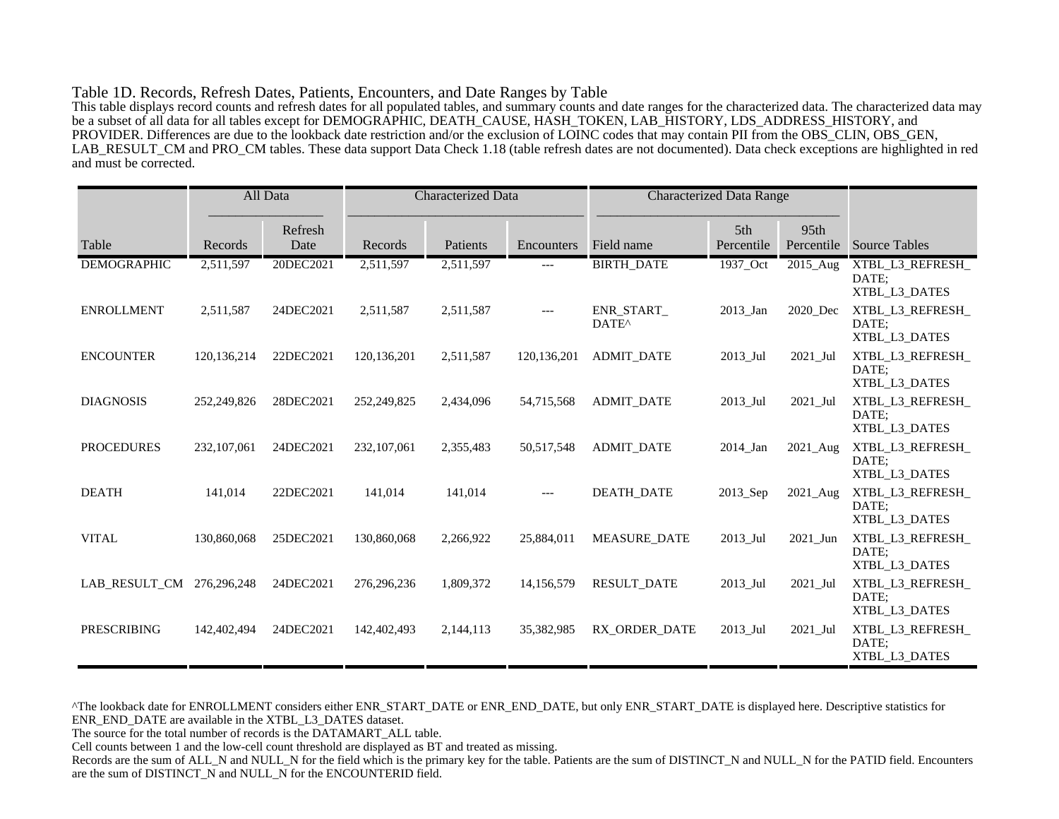#### Table 1D. Records, Refresh Dates, Patients, Encounters, and Date Ranges by Table

This table displays record counts and refresh dates for all populated tables, and summary counts and date ranges for the characterized data. The characterized data may be a subset of all data for all tables except for DEMOGRAPHIC, DEATH\_CAUSE, HASH\_TOKEN, LAB\_HISTORY, LDS\_ADDRESS\_HISTORY, and PROVIDER. Differences are due to the lookback date restriction and/or the exclusion of LOINC codes that may contain PII from the OBS\_CLIN, OBS\_GEN, LAB\_RESULT\_CM and PRO\_CM tables. These data support Data Check 1.18 (table refresh dates are not documented). Data check exceptions are highlighted in red and must be corrected.

|                    |               | All Data        | <b>Characterized Data</b> |           | <b>Characterized Data Range</b> |                                 |                   |                                |                                            |
|--------------------|---------------|-----------------|---------------------------|-----------|---------------------------------|---------------------------------|-------------------|--------------------------------|--------------------------------------------|
| Table              | Records       | Refresh<br>Date | Records                   | Patients  | Encounters                      | Field name                      | 5th<br>Percentile | 95 <sub>th</sub><br>Percentile | <b>Source Tables</b>                       |
| <b>DEMOGRAPHIC</b> | 2,511,597     | 20DEC2021       | 2,511,597                 | 2,511,597 | ---                             | <b>BIRTH_DATE</b>               | 1937_Oct          | 2015_Aug                       | XTBL_L3_REFRESH_<br>DATE:<br>XTBL L3 DATES |
| <b>ENROLLMENT</b>  | 2,511,587     | 24DEC2021       | 2,511,587                 | 2,511,587 | $---$                           | ENR_START_<br>DATE <sup>^</sup> | 2013_Jan          | 2020_Dec                       | XTBL_L3_REFRESH_<br>DATE:<br>XTBL_L3_DATES |
| <b>ENCOUNTER</b>   | 120, 136, 214 | 22DEC2021       | 120, 136, 201             | 2,511,587 | 120,136,201                     | <b>ADMIT DATE</b>               | 2013 Jul          | 2021 Jul                       | XTBL_L3_REFRESH_<br>DATE:<br>XTBL_L3_DATES |
| <b>DIAGNOSIS</b>   | 252,249,826   | 28DEC2021       | 252,249,825               | 2,434,096 | 54,715,568                      | <b>ADMIT DATE</b>               | 2013_Jul          | 2021_Jul                       | XTBL_L3_REFRESH_<br>DATE;<br>XTBL_L3_DATES |
| <b>PROCEDURES</b>  | 232,107,061   | 24DEC2021       | 232, 107, 061             | 2,355,483 | 50,517,548                      | <b>ADMIT DATE</b>               | 2014 Jan          | 2021 Aug                       | XTBL L3 REFRESH<br>DATE:<br>XTBL_L3_DATES  |
| <b>DEATH</b>       | 141,014       | 22DEC2021       | 141,014                   | 141,014   | $---$                           | <b>DEATH DATE</b>               | 2013_Sep          | 2021_Aug                       | XTBL_L3_REFRESH_<br>DATE:<br>XTBL_L3_DATES |
| <b>VITAL</b>       | 130,860,068   | 25DEC2021       | 130,860,068               | 2,266,922 | 25,884,011                      | <b>MEASURE DATE</b>             | 2013_Jul          | 2021_Jun                       | XTBL_L3_REFRESH_<br>DATE:<br>XTBL L3 DATES |
| LAB_RESULT_CM      | 276,296,248   | 24DEC2021       | 276,296,236               | 1,809,372 | 14,156,579                      | <b>RESULT_DATE</b>              | 2013_Jul          | 2021_Jul                       | XTBL_L3_REFRESH_<br>DATE:<br>XTBL_L3_DATES |
| <b>PRESCRIBING</b> | 142,402,494   | 24DEC2021       | 142,402,493               | 2,144,113 | 35,382,985                      | RX ORDER DATE                   | 2013 Jul          | 2021 Jul                       | XTBL_L3_REFRESH_<br>DATE:<br>XTBL_L3_DATES |

^The lookback date for ENROLLMENT considers either ENR\_START\_DATE or ENR\_END\_DATE, but only ENR\_START\_DATE is displayed here. Descriptive statistics for ENR\_END\_DATE are available in the XTBL\_L3\_DATES dataset.

The source for the total number of records is the DATAMART\_ALL table.

Cell counts between 1 and the low-cell count threshold are displayed as BT and treated as missing.

Records are the sum of ALL\_N and NULL\_N for the field which is the primary key for the table. Patients are the sum of DISTINCT\_N and NULL\_N for the PATID field. Encounters are the sum of DISTINCT\_N and NULL\_N for the ENCOUNTERID field.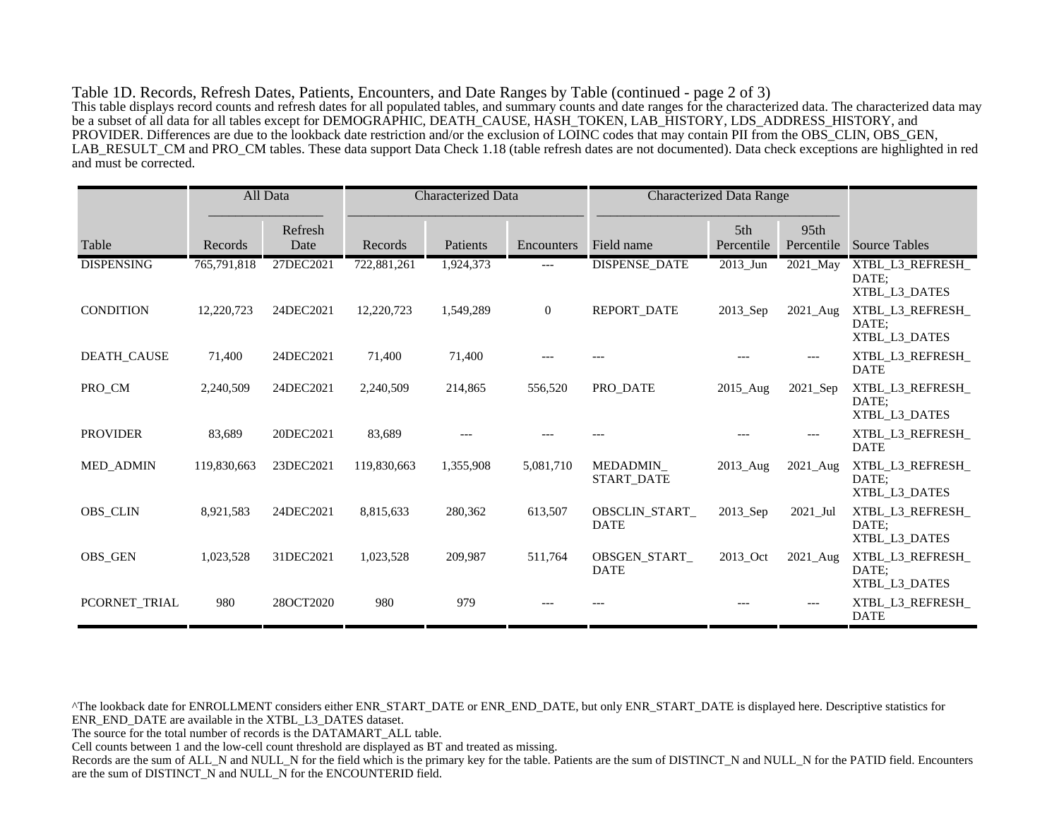Table 1D. Records, Refresh Dates, Patients, Encounters, and Date Ranges by Table (continued - page 2 of 3) This table displays record counts and refresh dates for all populated tables, and summary counts and date ranges for the characterized data. The characterized data may be a subset of all data for all tables except for DEMOGRAPHIC, DEATH\_CAUSE, HASH\_TOKEN, LAB\_HISTORY, LDS\_ADDRESS\_HISTORY, and PROVIDER. Differences are due to the lookback date restriction and/or the exclusion of LOINC codes that may contain PII from the OBS\_CLIN, OBS\_GEN, LAB\_RESULT\_CM and PRO\_CM tables. These data support Data Check 1.18 (table refresh dates are not documented). Data check exceptions are highlighted in red and must be corrected.

|                   |             | All Data        | Characterized Data |           | <b>Characterized Data Range</b> |                               |                   |                    |                                            |
|-------------------|-------------|-----------------|--------------------|-----------|---------------------------------|-------------------------------|-------------------|--------------------|--------------------------------------------|
| Table             | Records     | Refresh<br>Date | Records            | Patients  | Encounters                      | Field name                    | 5th<br>Percentile | 95th<br>Percentile | <b>Source Tables</b>                       |
| <b>DISPENSING</b> | 765,791,818 | 27DEC2021       | 722,881,261        | 1,924,373 | $---$                           | <b>DISPENSE_DATE</b>          | $2013$ _Jun       | 2021_May           | XTBL_L3_REFRESH_<br>DATE:<br>XTBL_L3_DATES |
| <b>CONDITION</b>  | 12,220,723  | 24DEC2021       | 12,220,723         | 1,549,289 | $\overline{0}$                  | <b>REPORT DATE</b>            | 2013_Sep          | $2021$ Aug         | XTBL_L3_REFRESH_<br>DATE:<br>XTBL_L3_DATES |
| DEATH_CAUSE       | 71,400      | 24DEC2021       | 71,400             | 71,400    |                                 |                               |                   |                    | XTBL_L3_REFRESH_<br><b>DATE</b>            |
| PRO_CM            | 2,240,509   | 24DEC2021       | 2,240,509          | 214,865   | 556,520                         | PRO DATE                      | 2015 Aug          | 2021 Sep           | XTBL L3 REFRESH<br>DATE:<br>XTBL L3 DATES  |
| <b>PROVIDER</b>   | 83,689      | 20DEC2021       | 83,689             |           |                                 |                               |                   |                    | XTBL_L3_REFRESH_<br><b>DATE</b>            |
| <b>MED ADMIN</b>  | 119,830,663 | 23DEC2021       | 119,830,663        | 1,355,908 | 5,081,710                       | MEDADMIN<br><b>START DATE</b> | 2013_Aug          | 2021_Aug           | XTBL_L3_REFRESH_<br>DATE:<br>XTBL_L3_DATES |
| <b>OBS_CLIN</b>   | 8,921,583   | 24DEC2021       | 8,815,633          | 280,362   | 613,507                         | OBSCLIN_START_<br><b>DATE</b> | 2013_Sep          | 2021_Jul           | XTBL_L3_REFRESH_<br>DATE:<br>XTBL_L3_DATES |
| <b>OBS_GEN</b>    | 1,023,528   | 31DEC2021       | 1,023,528          | 209,987   | 511,764                         | OBSGEN START<br><b>DATE</b>   | 2013 Oct          | $2021$ _Aug        | XTBL L3 REFRESH<br>DATE:<br>XTBL_L3_DATES  |
| PCORNET_TRIAL     | 980         | 28OCT2020       | 980                | 979       |                                 |                               |                   |                    | XTBL_L3_REFRESH_<br><b>DATE</b>            |

^The lookback date for ENROLLMENT considers either ENR\_START\_DATE or ENR\_END\_DATE, but only ENR\_START\_DATE is displayed here. Descriptive statistics for ENR\_END\_DATE are available in the XTBL\_L3\_DATES dataset.

The source for the total number of records is the DATAMART\_ALL table.

Cell counts between 1 and the low-cell count threshold are displayed as BT and treated as missing.

Records are the sum of ALL\_N and NULL\_N for the field which is the primary key for the table. Patients are the sum of DISTINCT\_N and NULL\_N for the PATID field. Encounters are the sum of DISTINCT\_N and NULL\_N for the ENCOUNTERID field.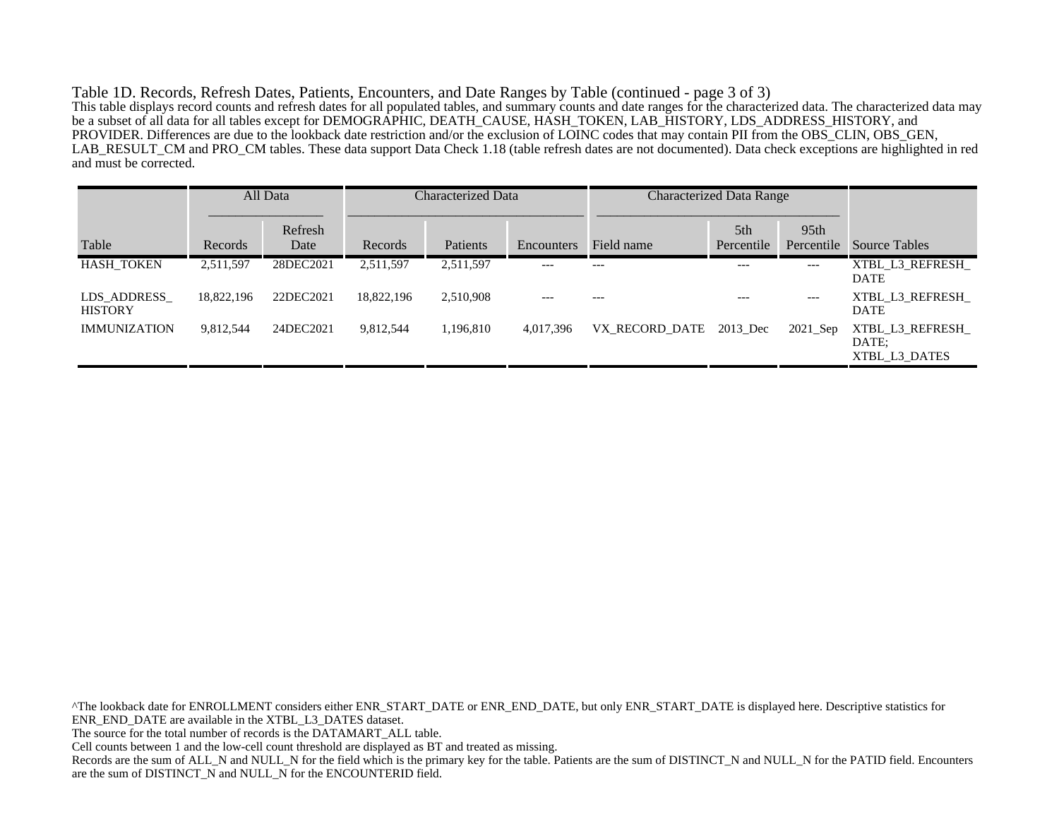Table 1D. Records, Refresh Dates, Patients, Encounters, and Date Ranges by Table (continued - page 3 of 3) This table displays record counts and refresh dates for all populated tables, and summary counts and date ranges for the characterized data. The characterized data may be a subset of all data for all tables except for DEMOGRAPHIC, DEATH\_CAUSE, HASH\_TOKEN, LAB\_HISTORY, LDS\_ADDRESS\_HISTORY, and PROVIDER. Differences are due to the lookback date restriction and/or the exclusion of LOINC codes that may contain PII from the OBS\_CLIN, OBS\_GEN, LAB\_RESULT\_CM and PRO\_CM tables. These data support Data Check 1.18 (table refresh dates are not documented). Data check exceptions are highlighted in red and must be corrected.

|                               |            | All Data        | <b>Characterized Data</b> |           |            |                         | <b>Characterized Data Range</b> |                                |                                           |
|-------------------------------|------------|-----------------|---------------------------|-----------|------------|-------------------------|---------------------------------|--------------------------------|-------------------------------------------|
| Table                         | Records    | Refresh<br>Date | Records                   | Patients  | Encounters | Field name              | 5th<br>Percentile               | 95 <sub>th</sub><br>Percentile | Source Tables                             |
| <b>HASH TOKEN</b>             | 2,511,597  | 28DEC2021       | 2,511,597                 | 2,511,597 | $---$      | $---$                   | $---$                           | $---$                          | XTBL L3 REFRESH<br><b>DATE</b>            |
| LDS ADDRESS<br><b>HISTORY</b> | 18,822,196 | 22DEC2021       | 18,822,196                | 2,510,908 | $---$      |                         | $---$                           | $---$                          | XTBL L3 REFRESH<br><b>DATE</b>            |
| <b>IMMUNIZATION</b>           | 9,812,544  | 24DEC2021       | 9,812,544                 | 1,196,810 | 4,017,396  | VX RECORD DATE 2013 Dec |                                 | $2021$ Sep                     | XTBL L3 REFRESH<br>DATE:<br>XTBL L3 DATES |

^The lookback date for ENROLLMENT considers either ENR\_START\_DATE or ENR\_END\_DATE, but only ENR\_START\_DATE is displayed here. Descriptive statistics for ENR\_END\_DATE are available in the XTBL\_L3\_DATES dataset. The source for the total number of records is the DATAMART\_ALL table. Cell counts between 1 and the low-cell count threshold are displayed as BT and treated as missing. Records are the sum of ALL\_N and NULL\_N for the field which is the primary key for the table. Patients are the sum of DISTINCT\_N and NULL\_N for the PATID field. Encounters are the sum of DISTINCT\_N and NULL\_N for the ENCOUNTERID field.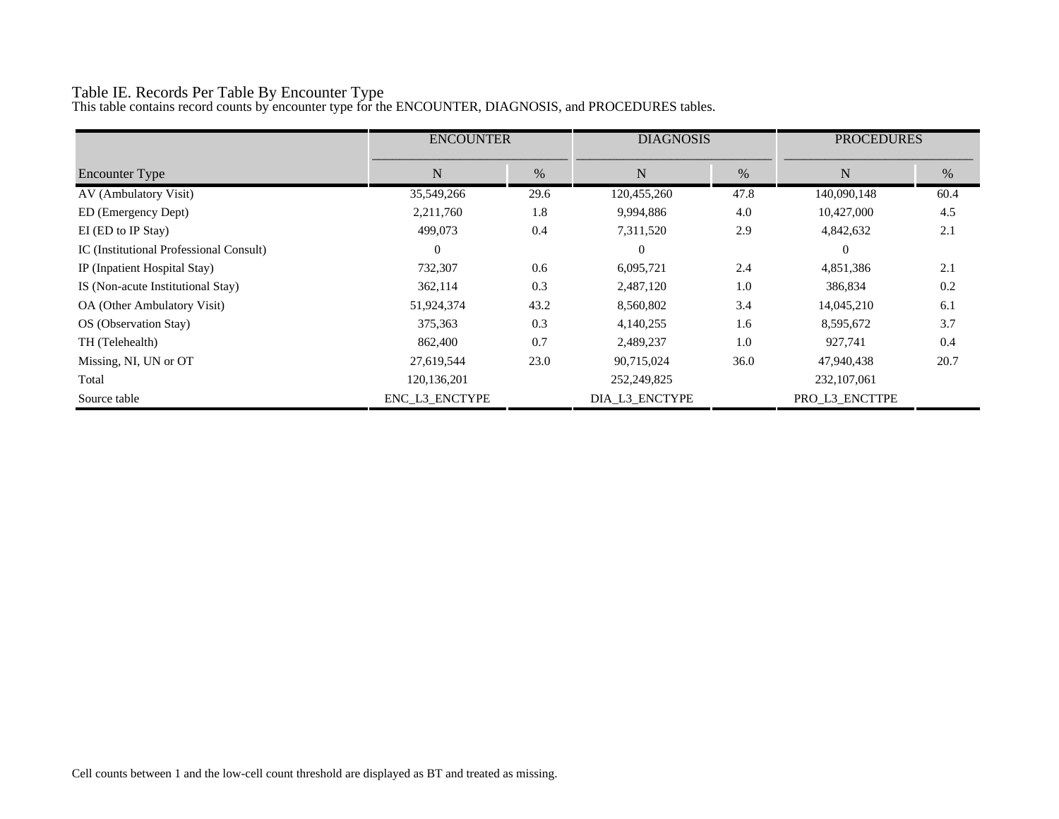# Table IE. Records Per Table By Encounter Type

This table contains record counts by encounter type for the ENCOUNTER, DIAGNOSIS, and PROCEDURES tables.

|                                         | <b>ENCOUNTER</b> |      | <b>DIAGNOSIS</b> |      | <b>PROCEDURES</b> |      |
|-----------------------------------------|------------------|------|------------------|------|-------------------|------|
| <b>Encounter Type</b>                   | N                | %    | N                | $\%$ | N                 | %    |
| AV (Ambulatory Visit)                   | 35,549,266       | 29.6 | 120,455,260      | 47.8 | 140,090,148       | 60.4 |
| ED (Emergency Dept)                     | 2,211,760        | 1.8  | 9,994,886        | 4.0  | 10,427,000        | 4.5  |
| EI (ED to IP Stay)                      | 499,073          | 0.4  | 7,311,520        | 2.9  | 4,842,632         | 2.1  |
| IC (Institutional Professional Consult) | $\Omega$         |      | $\theta$         |      | $\Omega$          |      |
| IP (Inpatient Hospital Stay)            | 732,307          | 0.6  | 6,095,721        | 2.4  | 4,851,386         | 2.1  |
| IS (Non-acute Institutional Stay)       | 362,114          | 0.3  | 2,487,120        | 1.0  | 386,834           | 0.2  |
| OA (Other Ambulatory Visit)             | 51,924,374       | 43.2 | 8,560,802        | 3.4  | 14,045,210        | 6.1  |
| OS (Observation Stay)                   | 375,363          | 0.3  | 4,140,255        | 1.6  | 8,595,672         | 3.7  |
| TH (Telehealth)                         | 862,400          | 0.7  | 2,489,237        | 1.0  | 927,741           | 0.4  |
| Missing, NI, UN or OT                   | 27,619,544       | 23.0 | 90,715,024       | 36.0 | 47,940,438        | 20.7 |
| Total                                   | 120, 136, 201    |      | 252,249,825      |      | 232, 107, 061     |      |
| Source table                            | ENC L3 ENCTYPE   |      | DIA L3 ENCTYPE   |      | PRO L3 ENCTTPE    |      |